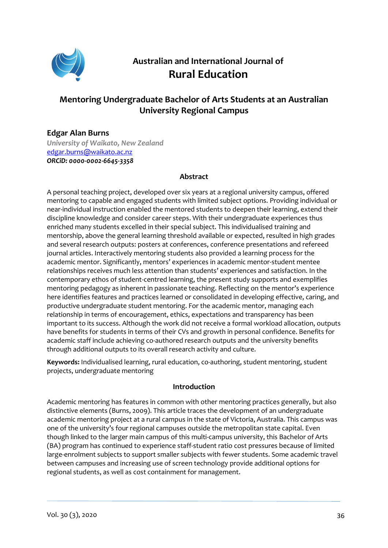

# **Australian and International Journal of Rural Education**

## **Mentoring Undergraduate Bachelor of Arts Students at an Australian University Regional Campus**

## **Edgar Alan Burns**

*University of Waikato, New Zealand*  edgar.burns@waikato.ac.nz *ORCiD: [0000-0002-6645-3358](https://orcid.org/0000-0002-6645-3358)*

## **Abstract**

A personal teaching project, developed over six years at a regional university campus, offered mentoring to capable and engaged students with limited subject options. Providing individual or near-individual instruction enabled the mentored students to deepen their learning, extend their discipline knowledge and consider career steps. With their undergraduate experiences thus enriched many students excelled in their special subject. This individualised training and mentorship, above the general learning threshold available or expected, resulted in high grades and several research outputs: posters at conferences, conference presentations and refereed journal articles. Interactively mentoring students also provided a learning process for the academic mentor. Significantly, mentors' experiences in academic mentor-student mentee relationships receives much less attention than students' experiences and satisfaction. In the contemporary ethos of student-centred learning, the present study supports and exemplifies mentoring pedagogy as inherent in passionate teaching. Reflecting on the mentor's experience here identifies features and practices learned or consolidated in developing effective, caring, and productive undergraduate student mentoring. For the academic mentor, managing each relationship in terms of encouragement, ethics, expectations and transparency has been important to its success. Although the work did not receive a formal workload allocation, outputs have benefits for students in terms of their CVs and growth in personal confidence. Benefits for academic staff include achieving co-authored research outputs and the university benefits through additional outputs to its overall research activity and culture.

**Keywords:** Individualised learning, rural education, co-authoring, student mentoring, student projects, undergraduate mentoring

## **Introduction**

Academic mentoring has features in common with other mentoring practices generally, but also distinctive elements (Burns, 2009). This article traces the development of an undergraduate academic mentoring project at a rural campus in the state of Victoria, Australia. This campus was one of the university's four regional campuses outside the metropolitan state capital. Even though linked to the larger main campus of this multi-campus university, this Bachelor of Arts (BA) program has continued to experience staff-student ratio cost pressures because of limited large-enrolment subjects to support smaller subjects with fewer students. Some academic travel between campuses and increasing use of screen technology provide additional options for regional students, as well as cost containment for management.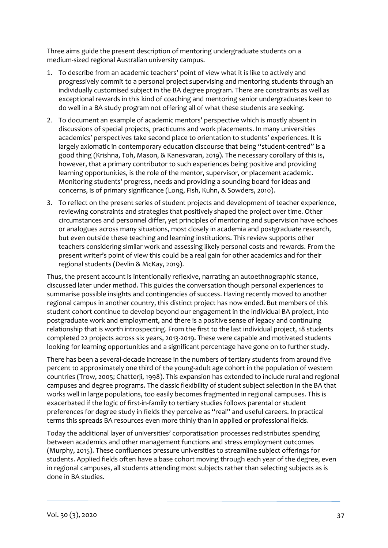Three aims guide the present description of mentoring undergraduate students on a medium-sized regional Australian university campus.

- 1. To describe from an academic teachers' point of view what it is like to actively and progressively commit to a personal project supervising and mentoring students through an individually customised subject in the BA degree program. There are constraints as well as exceptional rewards in this kind of coaching and mentoring senior undergraduates keen to do well in a BA study program not offering all of what these students are seeking.
- 2. To document an example of academic mentors' perspective which is mostly absent in discussions of special projects, practicums and work placements. In many universities academics' perspectives take second place to orientation to students' experiences. It is largely axiomatic in contemporary education discourse that being "student-centred" is a good thing (Krishna, Toh, Mason, & Kanesvaran, 2019). The necessary corollary of this is, however, that a primary contributor to such experiences being positive and providing learning opportunities, is the role of the mentor, supervisor, or placement academic. Monitoring students' progress, needs and providing a sounding board for ideas and concerns, is of primary significance (Long, Fish, Kuhn, & Sowders, 2010).
- 3. To reflect on the present series of student projects and development of teacher experience, reviewing constraints and strategies that positively shaped the project over time. Other circumstances and personnel differ, yet principles of mentoring and supervision have echoes or analogues across many situations, most closely in academia and postgraduate research, but even outside these teaching and learning institutions. This review supports other teachers considering similar work and assessing likely personal costs and rewards. From the present writer's point of view this could be a real gain for other academics and for their regional students (Devlin & McKay, 2019).

Thus, the present account is intentionally reflexive, narrating an autoethnographic stance, discussed later under method. This guides the conversation though personal experiences to summarise possible insights and contingencies of success. Having recently moved to another regional campus in another country, this distinct project has now ended. But members of this student cohort continue to develop beyond our engagement in the individual BA project, into postgraduate work and employment, and there is a positive sense of legacy and continuing relationship that is worth introspecting. From the first to the last individual project, 18 students completed 22 projects across six years, 2013-2019. These were capable and motivated students looking for learning opportunities and a significant percentage have gone on to further study.

There has been a several-decade increase in the numbers of tertiary students from around five percent to approximately one third of the young-adult age cohort in the population of western countries (Trow, 2005; Chatterji, 1998). This expansion has extended to include rural and regional campuses and degree programs. The classic flexibility of student subject selection in the BA that works well in large populations, too easily becomes fragmented in regional campuses. This is exacerbated if the logic of first-in-family to tertiary studies follows parental or student preferences for degree study in fields they perceive as "real" and useful careers. In practical terms this spreads BA resources even more thinly than in applied or professional fields.

Today the additional layer of universities' corporatisation processes redistributes spending between academics and other management functions and stress employment outcomes (Murphy, 2015). These confluences pressure universities to streamline subject offerings for students. Applied fields often have a base cohort moving through each year of the degree, even in regional campuses, all students attending most subjects rather than selecting subjects as is done in BA studies.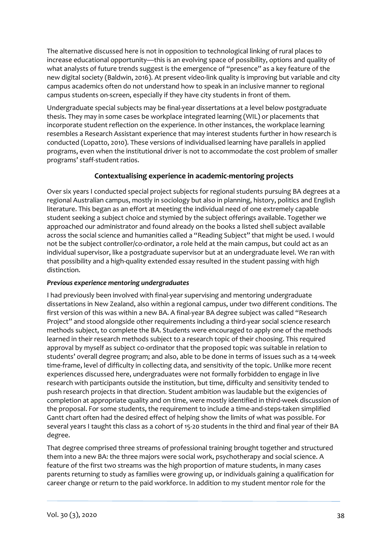The alternative discussed here is not in opposition to technological linking of rural places to increase educational opportunity—this is an evolving space of possibility, options and quality of what analysts of future trends suggest is the emergence of "presence" as a key feature of the new digital society (Baldwin, 2016). At present video-link quality is improving but variable and city campus academics often do not understand how to speak in an inclusive manner to regional campus students on-screen, especially if they have city students in front of them.

Undergraduate special subjects may be final-year dissertations at a level below postgraduate thesis. They may in some cases be workplace integrated learning (WIL) or placements that incorporate student reflection on the experience. In other instances, the workplace learning resembles a Research Assistant experience that may interest students further in how research is conducted (Lopatto, 2010). These versions of individualised learning have parallels in applied programs, even when the institutional driver is not to accommodate the cost problem of smaller programs' staff-student ratios.

## **Contextualising experience in academic-mentoring projects**

Over six years I conducted special project subjects for regional students pursuing BA degrees at a regional Australian campus, mostly in sociology but also in planning, history, politics and English literature. This began as an effort at meeting the individual need of one extremely capable student seeking a subject choice and stymied by the subject offerings available. Together we approached our administrator and found already on the books a listed shell subject available across the social science and humanities called a "Reading Subject" that might be used. I would not be the subject controller/co-ordinator, a role held at the main campus, but could act as an individual supervisor, like a postgraduate supervisor but at an undergraduate level. We ran with that possibility and a high-quality extended essay resulted in the student passing with high distinction.

## *Previous experience mentoring undergraduates*

I had previously been involved with final-year supervising and mentoring undergraduate dissertations in New Zealand, also within a regional campus, under two different conditions. The first version of this was within a new BA. A final-year BA degree subject was called "Research Project" and stood alongside other requirements including a third-year social science research methods subject, to complete the BA. Students were encouraged to apply one of the methods learned in their research methods subject to a research topic of their choosing. This required approval by myself as subject co-ordinator that the proposed topic was suitable in relation to students' overall degree program; and also, able to be done in terms of issues such as a 14-week time-frame, level of difficulty in collecting data, and sensitivity of the topic. Unlike more recent experiences discussed here, undergraduates were not formally forbidden to engage in live research with participants outside the institution, but time, difficulty and sensitivity tended to push research projects in that direction. Student ambition was laudable but the exigencies of completion at appropriate quality and on time, were mostly identified in third-week discussion of the proposal. For some students, the requirement to include a time-and-steps-taken simplified Gantt chart often had the desired effect of helping show the limits of what was possible. For several years I taught this class as a cohort of 15-20 students in the third and final year of their BA degree.

That degree comprised three streams of professional training brought together and structured them into a new BA: the three majors were social work, psychotherapy and social science. A feature of the first two streams was the high proportion of mature students, in many cases parents returning to study as families were growing up, or individuals gaining a qualification for career change or return to the paid workforce. In addition to my student mentor role for the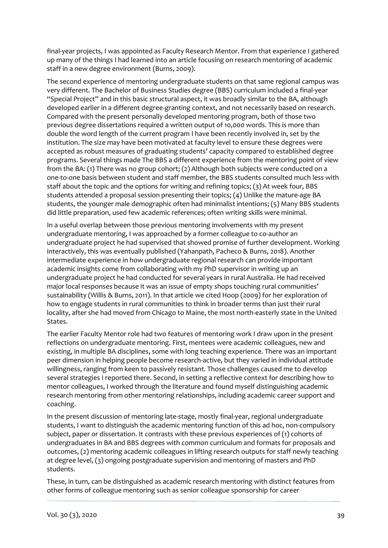final-year projects, I was appointed as Faculty Research Mentor. From that experience I gathered up many of the things I had learned into an article focusing on research mentoring of academic staff in a new degree environment (Burns, 2009).

The second experience of mentoring undergraduate students on that same regional campus was very different. The Bachelor of Business Studies degree (BBS) curriculum included a final-year "Special Project" and in this basic structural aspect, it was broadly similar to the BA, although developed earlier in a different degree-granting context, and not necessarily based on research. Compared with the present personally developed mentoring program, both of those two previous degree dissertations required a written output of 10,000 words. This is more than double the word length of the current program I have been recently involved in, set by the institution. The size may have been motivated at faculty level to ensure these degrees were accepted as robust measures of graduating students' capacity compared to established degree programs. Several things made The BBS a different experience from the mentoring point of view from the BA: (1) There was no group cohort; (2) Although both subjects were conducted on a one-to-one basis between student and staff member, the BBS students consulted much less with staff about the topic and the options for writing and refining topics; (3) At week four, BBS students attended a proposal session presenting their topics; (4) Unlike the mature-age BA students, the younger male demographic often had minimalist intentions; (5) Many BBS students did little preparation, used few academic references; often writing skills were minimal.

In a useful overlap between those previous mentoring involvements with my present undergraduate mentoring, I was approached by a former colleague to co-author an undergraduate project he had supervised that showed promise of further development. Working interactively, this was eventually published (Yahanpath, Pacheco & Burns, 2018). Another intermediate experience in how undergraduate regional research can provide important academic insights come from collaborating with my PhD supervisor in writing up an undergraduate project he had conducted for several years in rural Australia. He had received major local responses because it was an issue of empty shops touching rural communities' sustainability (Willis & Burns, 2011). In that article we cited Hoop (2009) for her exploration of how to engage students in rural communities to think in broader terms than just their rural locality, after she had moved from Chicago to Maine, the most north-easterly state in the United States.

The earlier Faculty Mentor role had two features of mentoring work I draw upon in the present reflections on undergraduate mentoring. First, mentees were academic colleagues, new and existing, in multiple BA disciplines, some with long teaching experience. There was an important peer dimension in helping people become research-active, but they varied in individual attitude willingness, ranging from keen to passively resistant. Those challenges caused me to develop several strategies I reported there. Second, in setting a reflective context for describing how to mentor colleagues, I worked through the literature and found myself distinguishing academic research mentoring from other mentoring relationships, including academic career support and coaching.

In the present discussion of mentoring late-stage, mostly final-year, regional undergraduate students, I want to distinguish the academic mentoring function of this ad hoc, non-compulsory subject, paper or dissertation. It contrasts with these previous experiences of (1) cohorts of undergraduates in BA and BBS degrees with common curriculum and formats for proposals and outcomes, (2) mentoring academic colleagues in lifting research outputs for staff newly teaching at degree level, (3) ongoing postgraduate supervision and mentoring of masters and PhD students.

These, in turn, can be distinguished as academic research mentoring with distinct features from other forms of colleague mentoring such as senior colleague sponsorship for career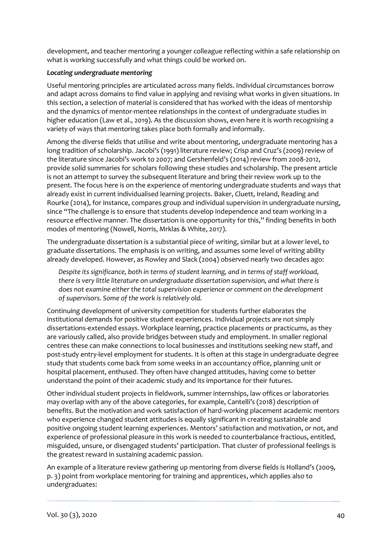development, and teacher mentoring a younger colleague reflecting within a safe relationship on what is working successfully and what things could be worked on.

#### *Locating undergraduate mentoring*

Useful mentoring principles are articulated across many fields. Individual circumstances borrow and adapt across domains to find value in applying and revising what works in given situations. In this section, a selection of material is considered that has worked with the ideas of mentorship and the dynamics of mentor-mentee relationships in the context of undergraduate studies in higher education (Law et al., 2019). As the discussion shows, even here it is worth recognising a variety of ways that mentoring takes place both formally and informally.

Among the diverse fields that utilise and write about mentoring, undergraduate mentoring has a long tradition of scholarship. Jacobi's (1991) literature review; Crisp and Cruz's (2009) review of the literature since Jacobi's work to 2007; and Gershenfeld's (2014) review from 2008-2012, provide solid summaries for scholars following these studies and scholarship. The present article is not an attempt to survey the subsequent literature and bring their review work up to the present. The focus here is on the experience of mentoring undergraduate students and ways that already exist in current individualised learning projects. Baker, Cluett, Ireland, Reading and Rourke (2014), for instance, compares group and individual supervision in undergraduate nursing, since "The challenge is to ensure that students develop independence and team working in a resource effective manner. The dissertation is one opportunity for this," finding benefits in both modes of mentoring (Nowell, Norris, Mrklas & White, 2017).

The undergraduate dissertation is a substantial piece of writing, similar but at a lower level, to graduate dissertations. The emphasis is on writing, and assumes some level of writing ability already developed. However, as Rowley and Slack (2004) observed nearly two decades ago:

*Despite its significance, both in terms of student learning, and in terms of staff workload, there is very little literature on undergraduate dissertation supervision, and what there is does not examine either the total supervision experience or comment on the development of supervisors. Some of the work is relatively old.*

Continuing development of university competition for students further elaborates the institutional demands for positive student experiences. Individual projects are not simply dissertations-extended essays. Workplace learning, practice placements or practicums, as they are variously called, also provide bridges between study and employment. In smaller regional centres these can make connections to local businesses and institutions seeking new staff, and post-study entry-level employment for students. It is often at this stage in undergraduate degree study that students come back from some weeks in an accountancy office, planning unit or hospital placement, enthused. They often have changed attitudes, having come to better understand the point of their academic study and its importance for their futures.

Other individual student projects in fieldwork, summer internships, law offices or laboratories may overlap with any of the above categories, for example, Cantelli's (2018) description of benefits. But the motivation and work satisfaction of hard-working placement academic mentors who experience changed student attitudes is equally significant in creating sustainable and positive ongoing student learning experiences. Mentors' satisfaction and motivation, or not, and experience of professional pleasure in this work is needed to counterbalance fractious, entitled, misguided, unsure, or disengaged students' participation. That cluster of professional feelings is the greatest reward in sustaining academic passion.

An example of a literature review gathering up mentoring from diverse fields is Holland's (2009, p. 3) point from workplace mentoring for training and apprentices, which applies also to undergraduates: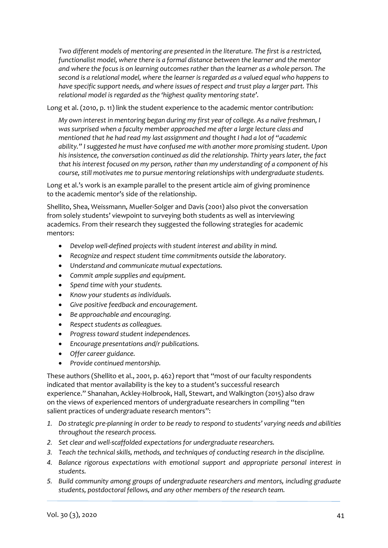*Two different models of mentoring are presented in the literature. The first is a restricted, functionalist model, where there is a formal distance between the learner and the mentor and where the focus is on learning outcomes rather than the learner as a whole person. The second is a relational model, where the learner is regarded as a valued equal who happens to have specific support needs, and where issues of respect and trust play a larger part. This relational model is regarded as the 'highest quality mentoring state'.*

Long et al. (2010, p. 11) link the student experience to the academic mentor contribution:

*My own interest in mentoring began during my first year of college. As a naïve freshman, I was surprised when a faculty member approached me after a large lecture class and mentioned that he had read my last assignment and thought I had a lot of "academic ability." I suggested he must have confused me with another more promising student. Upon his insistence, the conversation continued as did the relationship. Thirty years later, the fact that his interest focused on my person, rather than my understanding of a component of his course, still motivates me to pursue mentoring relationships with undergraduate students.*

Long et al.'s work is an example parallel to the present article aim of giving prominence to the academic mentor's side of the relationship.

Shellito, Shea, Weissmann, Mueller-Solger and Davis (2001) also pivot the conversation from solely students' viewpoint to surveying both students as well as interviewing academics. From their research they suggested the following strategies for academic mentors:

- *Develop well-defined projects with student interest and ability in mind.*
- *Recognize and respect student time commitments outside the laboratory.*
- *Understand and communicate mutual expectations.*
- *Commit ample supplies and equipment.*
- *Spend time with your students.*
- *Know your students as individuals.*
- *Give positive feedback and encouragement.*
- *Be approachable and encouraging.*
- *Respect students as colleagues.*
- *Progress toward student independences.*
- *Encourage presentations and/r publications.*
- *Offer career guidance.*
- *Provide continued mentorship.*

These authors (Shellito et al., 2001, p. 462) report that "most of our faculty respondents indicated that mentor availability is the key to a student's successful research experience." Shanahan, Ackley-Holbrook, Hall, Stewart, and Walkington (2015) also draw on the views of experienced mentors of undergraduate researchers in compiling "ten salient practices of undergraduate research mentors":

- *1. Do strategic pre-planning in order to be ready to respond to students' varying needs and abilities throughout the research process.*
- *2. Set clear and well-scaffolded expectations for undergraduate researchers.*
- *3. Teach the technical skills, methods, and techniques of conducting research in the discipline.*
- *4. Balance rigorous expectations with emotional support and appropriate personal interest in students.*
- *5. Build community among groups of undergraduate researchers and mentors, including graduate students, postdoctoral fellows, and any other members of the research team.*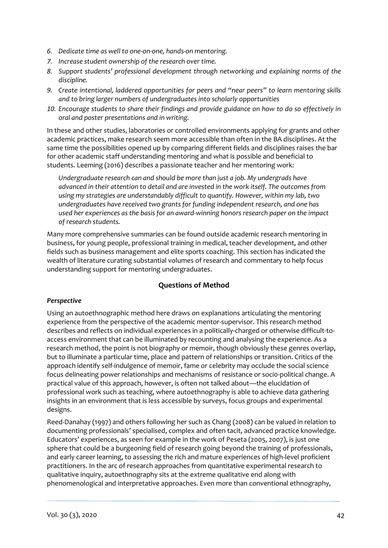- *6. Dedicate time as well to one-on-one, hands-on mentoring.*
- *7. Increase student ownership of the research over time.*
- *8. Support students' professional development through networking and explaining norms of the discipline.*
- *9. Create intentional, laddered opportunities for peers and "near peers" to learn mentoring skills and to bring larger numbers of undergraduates into scholarly opportunities*
- *10. Encourage students to share their findings and provide guidance on how to do so effectively in oral and poster presentations and in writing.*

In these and other studies, laboratories or controlled environments applying for grants and other academic practices, make research seem more accessible than often in the BA disciplines. At the same time the possibilities opened up by comparing different fields and disciplines raises the bar for other academic staff understanding mentoring and what is possible and beneficial to students. Leeming (2016) describes a passionate teacher and her mentoring work:

*Undergraduate research can and should be more than just a job. My undergrads have advanced in their attention to detail and are invested in the work itself. The outcomes from using my strategies are understandably difficult to quantify. However, within my lab, two undergraduates have received two grants for funding independent research, and one has used her experiences as the basis for an award-winning honors research paper on the impact of research students.*

Many more comprehensive summaries can be found outside academic research mentoring in business, for young people, professional training in medical, teacher development, and other fields such as business management and elite sports coaching. This section has indicated the wealth of literature curating substantial volumes of research and commentary to help focus understanding support for mentoring undergraduates.

## **Questions of Method**

#### *Perspective*

Using an autoethnographic method here draws on explanations articulating the mentoring experience from the perspective of the academic mentor-supervisor. This research method describes and reflects on individual experiences in a politically-charged or otherwise difficult-toaccess environment that can be illuminated by recounting and analysing the experience. As a research method, the point is not biography or memoir, though obviously these genres overlap, but to illuminate a particular time, place and pattern of relationships or transition. Critics of the approach identify self-indulgence of memoir, fame or celebrity may occlude the social science focus delineating power relationships and mechanisms of resistance or soci0-political change. A practical value of this approach, however, is often not talked about—the elucidation of professional work such as teaching, where autoethnography is able to achieve data gathering insights in an environment that is less accessible by surveys, focus groups and experimental designs.

Reed-Danahay (1997) and others following her such as Chang (2008) can be valued in relation to documenting professionals' specialised, complex and often tacit, advanced practice knowledge. Educators' experiences, as seen for example in the work of Peseta (2005, 2007), is just one sphere that could be a burgeoning field of research going beyond the training of professionals, and early career learning, to assessing the rich and mature experiences of high-level proficient practitioners. In the arc of research approaches from quantitative experimental research to qualitative inquiry, autoethnography sits at the extreme qualitative end along with phenomenological and interpretative approaches. Even more than conventional ethnography,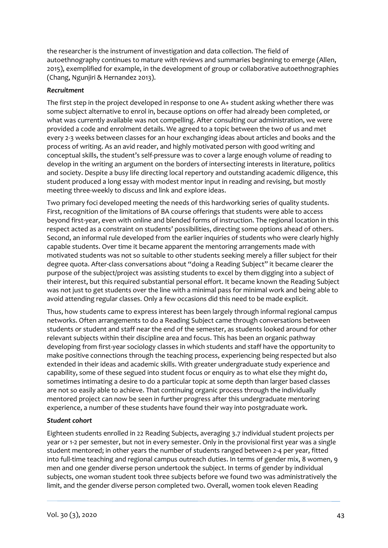the researcher is the instrument of investigation and data collection. The field of autoethnography continues to mature with reviews and summaries beginning to emerge (Allen, 2015), exemplified for example, in the development of group or collaborative autoethnographies (Chang, Ngunjiri & Hernandez 2013).

## *Recruitment*

The first step in the project developed in response to one A+ student asking whether there was some subject alternative to enrol in, because options on offer had already been completed, or what was currently available was not compelling. After consulting our administration, we were provided a code and enrolment details. We agreed to a topic between the two of us and met every 2-3 weeks between classes for an hour exchanging ideas about articles and books and the process of writing. As an avid reader, and highly motivated person with good writing and conceptual skills, the student's self-pressure was to cover a large enough volume of reading to develop in the writing an argument on the borders of intersecting interests in literature, politics and society. Despite a busy life directing local repertory and outstanding academic diligence, this student produced a long essay with modest mentor input in reading and revising, but mostly meeting three-weekly to discuss and link and explore ideas.

Two primary foci developed meeting the needs of this hardworking series of quality students. First, recognition of the limitations of BA course offerings that students were able to access beyond first-year, even with online and blended forms of instruction. The regional location in this respect acted as a constraint on students' possibilities, directing some options ahead of others. Second, an informal rule developed from the earlier inquiries of students who were clearly highly capable students. Over time it became apparent the mentoring arrangements made with motivated students was not so suitable to other students seeking merely a filler subject for their degree quota. After-class conversations about "doing a Reading Subject" it became clearer the purpose of the subject/project was assisting students to excel by them digging into a subject of their interest, but this required substantial personal effort. It became known the Reading Subject was not just to get students over the line with a minimal pass for minimal work and being able to avoid attending regular classes. Only a few occasions did this need to be made explicit.

Thus, how students came to express interest has been largely through informal regional campus networks. Often arrangements to do a Reading Subject came through conversations between students or student and staff near the end of the semester, as students looked around for other relevant subjects within their discipline area and focus. This has been an organic pathway developing from first-year sociology classes in which students and staff have the opportunity to make positive connections through the teaching process, experiencing being respected but also extended in their ideas and academic skills. With greater undergraduate study experience and capability, some of these segued into student focus or enquiry as to what else they might do, sometimes intimating a desire to do a particular topic at some depth than larger based classes are not so easily able to achieve. That continuing organic process through the individually mentored project can now be seen in further progress after this undergraduate mentoring experience, a number of these students have found their way into postgraduate work.

## *Student cohort*

Eighteen students enrolled in 22 Reading Subjects, averaging 3.7 individual student projects per year or 1-2 per semester, but not in every semester. Only in the provisional first year was a single student mentored; in other years the number of students ranged between 2-4 per year, fitted into full-time teaching and regional campus outreach duties. In terms of gender mix, 8 women, 9 men and one gender diverse person undertook the subject. In terms of gender by individual subjects, one woman student took three subjects before we found two was administratively the limit, and the gender diverse person completed two. Overall, women took eleven Reading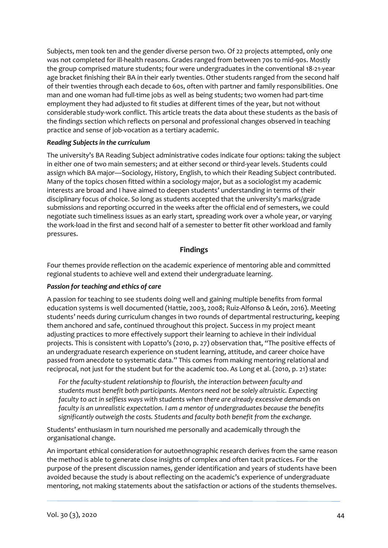Subjects, men took ten and the gender diverse person two. Of 22 projects attempted, only one was not completed for ill-health reasons. Grades ranged from between 70s to mid-90s. Mostly the group comprised mature students; four were undergraduates in the conventional 18-21-year age bracket finishing their BA in their early twenties. Other students ranged from the second half of their twenties through each decade to 60s, often with partner and family responsibilities. One man and one woman had full-time jobs as well as being students; two women had part-time employment they had adjusted to fit studies at different times of the year, but not without considerable study-work conflict. This article treats the data about these students as the basis of the findings section which reflects on personal and professional changes observed in teaching practice and sense of job-vocation as a tertiary academic.

#### *Reading Subjects in the curriculum*

The university's BA Reading Subject administrative codes indicate four options: taking the subject in either one of two main semesters; and at either second or third-year levels. Students could assign which BA major—Sociology, History, English, to which their Reading Subject contributed. Many of the topics chosen fitted within a sociology major, but as a sociologist my academic interests are broad and I have aimed to deepen students' understanding in terms of their disciplinary focus of choice. So long as students accepted that the university's marks/grade submissions and reporting occurred in the weeks after the official end of semesters, we could negotiate such timeliness issues as an early start, spreading work over a whole year, or varying the work-load in the first and second half of a semester to better fit other workload and family pressures.

#### **Findings**

Four themes provide reflection on the academic experience of mentoring able and committed regional students to achieve well and extend their undergraduate learning.

#### *Passion for teaching and ethics of care*

A passion for teaching to see students doing well and gaining multiple benefits from formal education systems is well documented (Hattie, 2003, 2008; Ruiz-Alfonso & León, 2016). Meeting students' needs during curriculum changes in two rounds of departmental restructuring, keeping them anchored and safe, continued throughout this project. Success in my project meant adjusting practices to more effectively support their learning to achieve in their individual projects. This is consistent with Lopatto's (2010, p. 27) observation that, "The positive effects of an undergraduate research experience on student learning, attitude, and career choice have passed from anecdote to systematic data." This comes from making mentoring relational and reciprocal, not just for the student but for the academic too. As Long et al. (2010, p. 21) state:

*For the faculty-student relationship to flourish, the interaction between faculty and students must benefit both participants. Mentors need not be solely altruistic. Expecting faculty to act in selfless ways with students when there are already excessive demands on faculty is an unrealistic expectation. I am a mentor of undergraduates because the benefits significantly outweigh the costs. Students and faculty both benefit from the exchange.*

Students' enthusiasm in turn nourished me personally and academically through the organisational change.

An important ethical consideration for autoethnographic research derives from the same reason the method is able to generate close insights of complex and often tacit practices. For the purpose of the present discussion names, gender identification and years of students have been avoided because the study is about reflecting on the academic's experience of undergraduate mentoring, not making statements about the satisfaction or actions of the students themselves.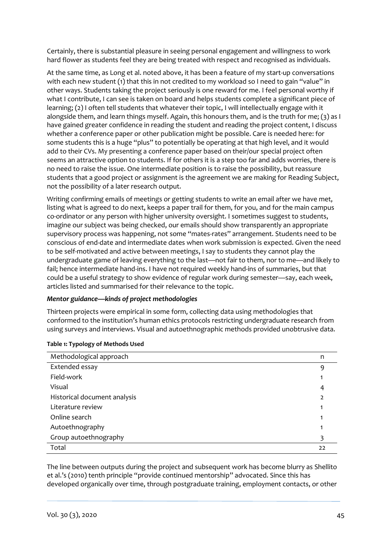Certainly, there is substantial pleasure in seeing personal engagement and willingness to work hard flower as students feel they are being treated with respect and recognised as individuals.

At the same time, as Long et al. noted above, it has been a feature of my start-up conversations with each new student (1) that this in not credited to my workload so I need to gain "value" in other ways. Students taking the project seriously is one reward for me. I feel personal worthy if what I contribute, I can see is taken on board and helps students complete a significant piece of learning; (2) I often tell students that whatever their topic, I will intellectually engage with it alongside them, and learn things myself. Again, this honours them, and is the truth for me; (3) as I have gained greater confidence in reading the student and reading the project content, I discuss whether a conference paper or other publication might be possible. Care is needed here: for some students this is a huge "plus" to potentially be operating at that high level, and it would add to their CVs. My presenting a conference paper based on their/our special project often seems an attractive option to students. If for others it is a step too far and adds worries, there is no need to raise the issue. One intermediate position is to raise the possibility, but reassure students that a good project or assignment is the agreement we are making for Reading Subject, not the possibility of a later research output.

Writing confirming emails of meetings or getting students to write an email after we have met, listing what is agreed to do next, keeps a paper trail for them, for you, and for the main campus co-ordinator or any person with higher university oversight. I sometimes suggest to students, imagine our subject was being checked, our emails should show transparently an appropriate supervisory process was happening, not some "mates-rates" arrangement. Students need to be conscious of end-date and intermediate dates when work submission is expected. Given the need to be self-motivated and active between meetings, I say to students they cannot play the undergraduate game of leaving everything to the last—not fair to them, nor to me—and likely to fail; hence intermediate hand-ins. I have not required weekly hand-ins of summaries, but that could be a useful strategy to show evidence of regular work during semester—say, each week, articles listed and summarised for their relevance to the topic.

#### *Mentor guidance—kinds of project methodologies*

Thirteen projects were empirical in some form, collecting data using methodologies that conformed to the institution's human ethics protocols restricting undergraduate research from using surveys and interviews. Visual and autoethnographic methods provided unobtrusive data.

| Methodological approach      | n  |
|------------------------------|----|
| Extended essay               | 9  |
| Field-work                   |    |
| Visual                       | 4  |
| Historical document analysis |    |
| Literature review            |    |
| Online search                |    |
| Autoethnography              |    |
| Group autoethnography        |    |
| Total                        | 22 |

#### **Table 1: Typology of Methods Used**

The line between outputs during the project and subsequent work has become blurry as Shellito et al.'s (2010) tenth principle "provide continued mentorship" advocated. Since this has developed organically over time, through postgraduate training, employment contacts, or other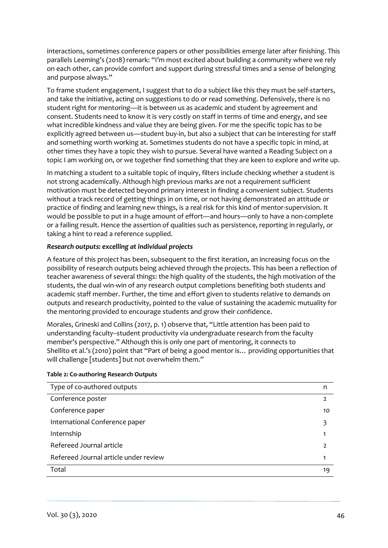interactions, sometimes conference papers or other possibilities emerge later after finishing. This parallels Leeming's (2018) remark: "I'm most excited about building a community where we rely on each other, can provide comfort and support during stressful times and a sense of belonging and purpose always."

To frame student engagement, I suggest that to do a subject like this they must be self-starters, and take the initiative, acting on suggestions to do or read something. Defensively, there is no student right for mentoring—it is between us as academic and student by agreement and consent. Students need to know it is very costly on staff in terms of time and energy, and see what incredible kindness and value they are being given. For me the specific topic has to be explicitly agreed between us—student buy-in, but also a subject that can be interesting for staff and something worth working at. Sometimes students do not have a specific topic in mind, at other times they have a topic they wish to pursue. Several have wanted a Reading Subject on a topic I am working on, or we together find something that they are keen to explore and write up.

In matching a student to a suitable topic of inquiry, filters include checking whether a student is not strong academically. Although high previous marks are not a requirement sufficient motivation must be detected beyond primary interest in finding a convenient subject. Students without a track record of getting things in on time, or not having demonstrated an attitude or practice of finding and learning new things, is a real risk for this kind of mentor-supervision. It would be possible to put in a huge amount of effort—and hours—only to have a non-complete or a failing result. Hence the assertion of qualities such as persistence, reporting in regularly, or taking a hint to read a reference supplied.

## *Research outputs: excelling at individual projects*

A feature of this project has been, subsequent to the first iteration, an increasing focus on the possibility of research outputs being achieved through the projects. This has been a reflection of teacher awareness of several things: the high quality of the students, the high motivation of the students, the dual win-win of any research output completions benefiting both students and academic staff member. Further, the time and effort given to students relative to demands on outputs and research productivity, pointed to the value of sustaining the academic mutuality for the mentoring provided to encourage students and grow their confidence.

Morales, Grineski and Collins (2017, p. 1) observe that, "Little attention has been paid to understanding faculty–student productivity via undergraduate research from the faculty member's perspective." Although this is only one part of mentoring, it connects to Shellito et al.'s (2010) point that "Part of being a good mentor is… providing opportunities that will challenge [students] but not overwhelm them."

| Type of co-authored outputs           | n             |
|---------------------------------------|---------------|
| Conference poster                     | $\mathcal{P}$ |
| Conference paper                      | 10            |
| International Conference paper        |               |
| Internship                            |               |
| Refereed Journal article              |               |
| Refereed Journal article under review |               |
| Total                                 | 19            |

#### **Table 2: Co-authoring Research Outputs**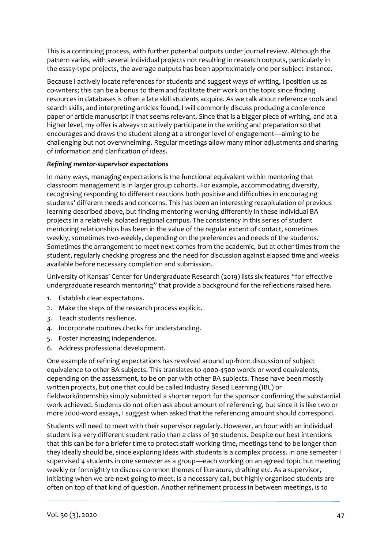This is a continuing process, with further potential outputs under journal review. Although the pattern varies, with several individual projects not resulting in research outputs, particularly in the essay-type projects, the average outputs has been approximately one per subject instance.

Because I actively locate references for students and suggest ways of writing, I position us as co-writers; this can be a bonus to them and facilitate their work on the topic since finding resources in databases is often a late skill students acquire. As we talk about reference tools and search skills, and interpreting articles found, I will commonly discuss producing a conference paper or article manuscript if that seems relevant. Since that is a bigger piece of writing, and at a higher level, my offer is always to actively participate in the writing and preparation so that encourages and draws the student along at a stronger level of engagement—aiming to be challenging but not overwhelming. Regular meetings allow many minor adjustments and sharing of information and clarification of ideas.

#### *Refining mentor-supervisor expectations*

In many ways, managing expectations is the functional equivalent within mentoring that classroom management is in larger group cohorts. For example, accommodating diversity, recognising responding to different reactions both positive and difficulties in encouraging students' different needs and concerns. This has been an interesting recapitulation of previous learning described above, but finding mentoring working differently in these individual BA projects in a relatively isolated regional campus. The consistency in this series of student mentoring relationships has been in the value of the regular extent of contact, sometimes weekly, sometimes two-weekly, depending on the preferences and needs of the students. Sometimes the arrangement to meet next comes from the academic, but at other times from the student, regularly checking progress and the need for discussion against elapsed time and weeks available before necessary completion and submission.

University of Kansas' Center for Undergraduate Research (2019) lists six features "for effective undergraduate research mentoring" that provide a background for the reflections raised here.

- 1. Establish clear expectations.
- 2. Make the steps of the research process explicit.
- 3. Teach students resilience.
- 4. Incorporate routines checks for understanding.
- 5. Foster increasing independence.
- 6. Address professional development.

One example of refining expectations has revolved around up-front discussion of subject equivalence to other BA subjects. This translates to 4000-4500 words or word equivalents, depending on the assessment, to be on par with other BA subjects. These have been mostly written projects, but one that could be called Industry Based Learning (IBL) or fieldwork/internship simply submitted a shorter report for the sponsor confirming the substantial work achieved. Students do not often ask about amount of referencing, but since it is like two or more 2000-word essays, I suggest when asked that the referencing amount should correspond.

Students will need to meet with their supervisor regularly. However, an hour with an individual student is a very different student ratio than a class of 30 students. Despite our best intentions that this can be for a briefer time to protect staff working time, meetings tend to be longer than they ideally should be, since exploring ideas with students is a complex process. In one semester I supervised 4 students in one semester as a group—each working on an agreed topic but meeting weekly or fortnightly to discuss common themes of literature, drafting etc. As a supervisor, initiating when we are next going to meet, is a necessary call, but highly-organised students are often on top of that kind of question. Another refinement process in between meetings, is to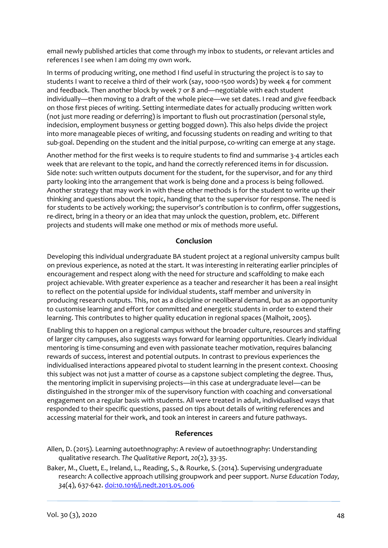email newly published articles that come through my inbox to students, or relevant articles and references I see when I am doing my own work.

In terms of producing writing, one method I find useful in structuring the project is to say to students I want to receive a third of their work (say, 1000-1500 words) by week 4 for comment and feedback. Then another block by week 7 or 8 and—negotiable with each student individually—then moving to a draft of the whole piece—we set dates. I read and give feedback on those first pieces of writing. Setting intermediate dates for actually producing written work (not just more reading or deferring) is important to flush out procrastination (personal style, indecision, employment busyness or getting bogged down). This also helps divide the project into more manageable pieces of writing, and focussing students on reading and writing to that sub-goal. Depending on the student and the initial purpose, co-writing can emerge at any stage.

Another method for the first weeks is to require students to find and summarise 3-4 articles each week that are relevant to the topic, and hand the correctly referenced items in for discussion. Side note: such written outputs document for the student, for the supervisor, and for any third party looking into the arrangement that work is being done and a process is being followed. Another strategy that may work in with these other methods is for the student to write up their thinking and questions about the topic, handing that to the supervisor for response. The need is for students to be actively working; the supervisor's contribution is to confirm, offer suggestions, re-direct, bring in a theory or an idea that may unlock the question, problem, etc. Different projects and students will make one method or mix of methods more useful.

## **Conclusion**

Developing this individual undergraduate BA student project at a regional university campus built on previous experience, as noted at the start. It was interesting in reiterating earlier principles of encouragement and respect along with the need for structure and scaffolding to make each project achievable. With greater experience as a teacher and researcher it has been a real insight to reflect on the potential upside for individual students, staff member and university in producing research outputs. This, not as a discipline or neoliberal demand, but as an opportunity to customise learning and effort for committed and energetic students in order to extend their learning. This contributes to higher quality education in regional spaces (Malhoit, 2005).

Enabling this to happen on a regional campus without the broader culture, resources and staffing of larger city campuses, also suggests ways forward for learning opportunities. Clearly individual mentoring is time-consuming and even with passionate teacher motivation, requires balancing rewards of success, interest and potential outputs. In contrast to previous experiences the individualised interactions appeared pivotal to student learning in the present context. Choosing this subject was not just a matter of course as a capstone subject completing the degree. Thus, the mentoring implicit in supervising projects—in this case at undergraduate level—can be distinguished in the stronger mix of the supervisory function with coaching and conversational engagement on a regular basis with students. All were treated in adult, individualised ways that responded to their specific questions, passed on tips about details of writing references and accessing material for their work, and took an interest in careers and future pathways.

#### **References**

Allen, D. (2015). Learning autoethnography: A review of autoethnography: Understanding qualitative research. *The Qualitative Report, 20*(2), 33-35.

Baker, M., Cluett, E., Ireland, L., Reading, S., & Rourke, S. (2014). Supervising undergraduate research: A collective approach utilising groupwork and peer support. *Nurse Education Today, 34*(4), 637-642. doi[:10.1016/j.nedt.2013.05.006](http://dx.doi.org/10.1016/j.nedt.2013.05.006)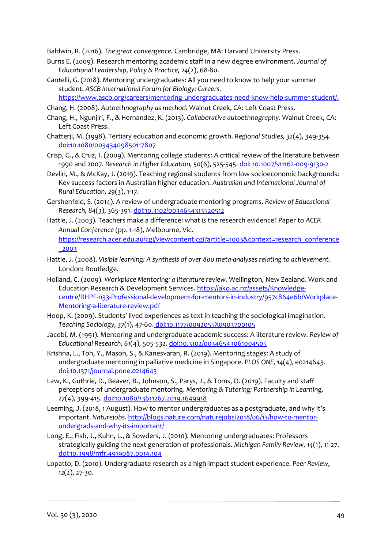Baldwin, R. (2016). *The great convergence.* Cambridge, MA: Harvard University Press.

- Burns E. (2009). Research mentoring academic staff in a new degree environment. *Journal of Educational Leadership, Policy & Practice, 24*(2), 68-80.
- Cantelli, G. (2018). Mentoring undergraduates: All you need to know to help your summer student. *ASCB International Forum for Biology: Careers.*

[https://www.ascb.org/careers/mentoring-undergraduates-need-know-help-summer-student/.](https://www.ascb.org/careers/mentoring-undergraduates-need-know-help-summer-student/)

- Chang, H. (2008). *Autoethnography as method.* Walnut Creek, CA: Left Coast Press.
- Chang, H., Ngunjiri, F., & Hernandez, K. (2013). *Collaborative autoethnography*. Walnut Creek, CA: Left Coast Press.
- Chatterji, M. (1998). Tertiary education and economic growth. *Regional Studies, 32*(4), 349-354. doi:10.1080/00343409850117807
- Crisp, G., & Cruz, I. (2009). Mentoring college students: A critical review of the literature between 1990 and 2007. *Research in Higher Education, 50*(6), 525-545. doi: [10.1007/s11162-009-9130-2](https://doi.org/10.1007/s11162-009-9130-2)
- Devlin, M., & McKay, J. (2019). Teaching regional students from low socioeconomic backgrounds: Key success factors in Australian higher education. *Australian and International Journal of Rural Education, 29*(3), 1-17.
- Gershenfeld, S. (2014). A review of undergraduate mentoring programs. *Review of Educational Research, 84*(3), 365-391. doi:10.3102/0034654313520512
- Hattie, J. (2003). Teachers make a difference: what is the research evidence? Paper to *ACER Annual Conference* (pp. 1-18), Melbourne, Vic. https://research.acer.edu.au/cgi/viewcontent.cgi?article=1003&context=research\_conference
	- \_2003
- Hattie, J. (2008). *Visible learning: A synthesis of over 800 meta-analyses relating to achievement.* London: Routledge.
- Holland, C. (2009). *Workplace Mentoring: a literature review.* Wellington, New Zealand. Work and Education Research & Development Services[. https://ako.ac.nz/assets/Knowledge](https://ako.ac.nz/assets/Knowledge-centre/RHPF-n33-Professional-development-for-mentors-in-industry/957c864e6b/Workplace-Mentoring-a-literature-review.pdf)[centre/RHPF-n33-Professional-development-for-mentors-in-industry/957c864e6b/Workplace-](https://ako.ac.nz/assets/Knowledge-centre/RHPF-n33-Professional-development-for-mentors-in-industry/957c864e6b/Workplace-Mentoring-a-literature-review.pdf)[Mentoring-a-literature-review.pdf](https://ako.ac.nz/assets/Knowledge-centre/RHPF-n33-Professional-development-for-mentors-in-industry/957c864e6b/Workplace-Mentoring-a-literature-review.pdf)
- Hoop, K. (2009). Students' lived experiences as text in teaching the sociological imagination. *Teaching Sociology, 37*(1), 47-60. doi[:10.1177/0092055X0903700105](https://doi.org/10.1177%2F0092055X0903700105)
- Jacobi, M. (1991). Mentoring and undergraduate academic success: A literature review. *Review of Educational Research, 61*(4), 505-532. doi:10.3102/00346543061004505
- Krishna, L., Toh, Y., Mason, S., & Kanesvaran, R. (2019). Mentoring stages: A study of undergraduate mentoring in palliative medicine in Singapore. *PLOS ONE, 14*(4), e0214643. doi:10.1371/journal.pone.0214643
- Law, K., Guthrie, D., Beaver, B., Johnson, S., Parys, J., & Toms, O. (2019). Faculty and staff perceptions of undergraduate mentoring. *Mentoring & Tutoring: Partnership in Learning, 27*(4), 399-415. doi:10.1080/13611267.2019.1649918
- Leeming, J. (2018, 1 August). How to mentor undergraduates as a postgraduate, and why it's important. *Naturejobs.* [http://blogs.nature.com/naturejobs/2018/06/13/how-to-mentor](http://blogs.nature.com/naturejobs/2018/06/13/how-to-mentor-undergrads-and-why-its-important/)[undergrads-and-why-its-important/](http://blogs.nature.com/naturejobs/2018/06/13/how-to-mentor-undergrads-and-why-its-important/)
- Long, E., Fish, J., Kuhn, L., & Sowders, J. (2010). Mentoring undergraduates: Professors strategically guiding the next generation of professionals. *Michigan Family Review, 14*(1), 11-27. doi:10.3998/mfr.4919087.0014.104
- Lopatto, D. (2010). Undergraduate research as a high-impact student experience. *Peer Review, 12*(2), 27-30.